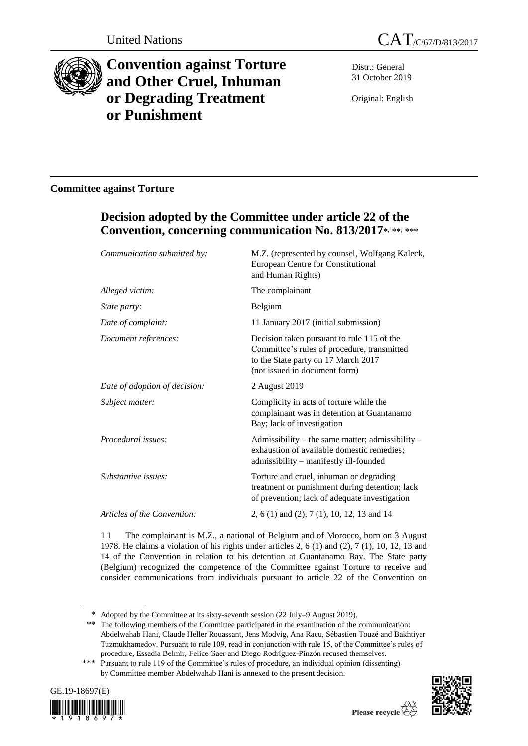



# **Convention against Torture and Other Cruel, Inhuman or Degrading Treatment or Punishment**

Distr.: General 31 October 2019

Original: English

## **Committee against Torture**

## **Decision adopted by the Committee under article 22 of the Convention, concerning communication No. 813/2017**\* , \*\*, \*\*\*

| Communication submitted by:   | M.Z. (represented by counsel, Wolfgang Kaleck,<br>European Centre for Constitutional<br>and Human Rights)                                                         |
|-------------------------------|-------------------------------------------------------------------------------------------------------------------------------------------------------------------|
| Alleged victim:               | The complainant                                                                                                                                                   |
| State party:                  | Belgium                                                                                                                                                           |
| Date of complaint:            | 11 January 2017 (initial submission)                                                                                                                              |
| Document references:          | Decision taken pursuant to rule 115 of the<br>Committee's rules of procedure, transmitted<br>to the State party on 17 March 2017<br>(not issued in document form) |
| Date of adoption of decision: | 2 August 2019                                                                                                                                                     |
| Subject matter:               | Complicity in acts of torture while the<br>complainant was in detention at Guantanamo<br>Bay; lack of investigation                                               |
| Procedural issues:            | Admissibility – the same matter; admissibility –<br>exhaustion of available domestic remedies;<br>admissibility - manifestly ill-founded                          |
| Substantive issues:           | Torture and cruel, inhuman or degrading<br>treatment or punishment during detention; lack<br>of prevention; lack of adequate investigation                        |
| Articles of the Convention:   | 2, 6 (1) and (2), 7 (1), 10, 12, 13 and 14                                                                                                                        |
|                               |                                                                                                                                                                   |

1.1 The complainant is M.Z., a national of Belgium and of Morocco, born on 3 August 1978. He claims a violation of his rights under articles 2, 6 (1) and (2), 7 (1), 10, 12, 13 and 14 of the Convention in relation to his detention at Guantanamo Bay. The State party (Belgium) recognized the competence of the Committee against Torture to receive and consider communications from individuals pursuant to article 22 of the Convention on

<sup>\*\*\*</sup> Pursuant to rule 119 of the Committee's rules of procedure, an individual opinion (dissenting) by Committee member Abdelwahab Hani is annexed to the present decision.





<sup>\*</sup> Adopted by the Committee at its sixty-seventh session (22 July–9 August 2019).

<sup>\*\*</sup> The following members of the Committee participated in the examination of the communication: Abdelwahab Hani, Claude Heller Rouassant, Jens Modvig, Ana Racu, Sébastien Touzé and Bakhtiyar Tuzmukhamedov. Pursuant to rule 109, read in conjunction with rule 15, of the Committee's rules of procedure, Essadia Belmir, Felice Gaer and Diego Rodríguez-Pinzón recused themselves.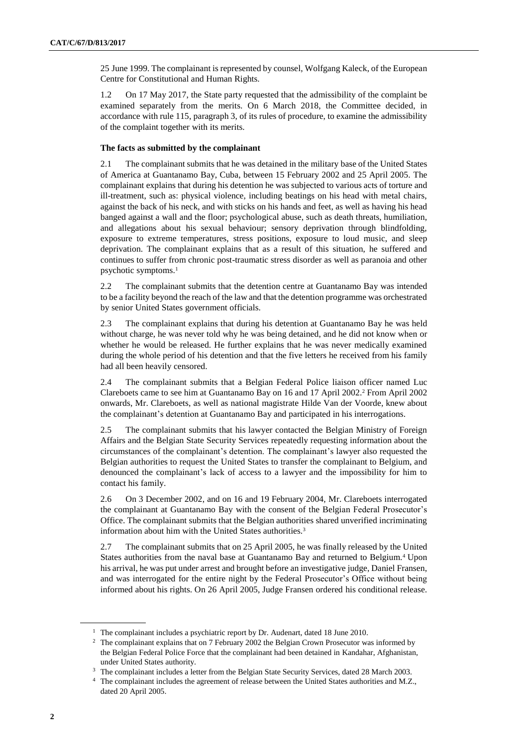25 June 1999. The complainant is represented by counsel, Wolfgang Kaleck, of the European Centre for Constitutional and Human Rights.

1.2 On 17 May 2017, the State party requested that the admissibility of the complaint be examined separately from the merits. On 6 March 2018, the Committee decided, in accordance with rule 115, paragraph 3, of its rules of procedure, to examine the admissibility of the complaint together with its merits.

### **The facts as submitted by the complainant**

2.1 The complainant submits that he was detained in the military base of the United States of America at Guantanamo Bay, Cuba, between 15 February 2002 and 25 April 2005. The complainant explains that during his detention he was subjected to various acts of torture and ill-treatment, such as: physical violence, including beatings on his head with metal chairs, against the back of his neck, and with sticks on his hands and feet, as well as having his head banged against a wall and the floor; psychological abuse, such as death threats, humiliation, and allegations about his sexual behaviour; sensory deprivation through blindfolding, exposure to extreme temperatures, stress positions, exposure to loud music, and sleep deprivation. The complainant explains that as a result of this situation, he suffered and continues to suffer from chronic post-traumatic stress disorder as well as paranoia and other psychotic symptoms.<sup>1</sup>

2.2 The complainant submits that the detention centre at Guantanamo Bay was intended to be a facility beyond the reach of the law and that the detention programme was orchestrated by senior United States government officials.

2.3 The complainant explains that during his detention at Guantanamo Bay he was held without charge, he was never told why he was being detained, and he did not know when or whether he would be released. He further explains that he was never medically examined during the whole period of his detention and that the five letters he received from his family had all been heavily censored.

2.4 The complainant submits that a Belgian Federal Police liaison officer named Luc Clareboets came to see him at Guantanamo Bay on 16 and 17 April 2002.<sup>2</sup> From April 2002 onwards, Mr. Clareboets, as well as national magistrate Hilde Van der Voorde, knew about the complainant's detention at Guantanamo Bay and participated in his interrogations.

2.5 The complainant submits that his lawyer contacted the Belgian Ministry of Foreign Affairs and the Belgian State Security Services repeatedly requesting information about the circumstances of the complainant's detention. The complainant's lawyer also requested the Belgian authorities to request the United States to transfer the complainant to Belgium, and denounced the complainant's lack of access to a lawyer and the impossibility for him to contact his family.

2.6 On 3 December 2002, and on 16 and 19 February 2004, Mr. Clareboets interrogated the complainant at Guantanamo Bay with the consent of the Belgian Federal Prosecutor's Office. The complainant submits that the Belgian authorities shared unverified incriminating information about him with the United States authorities.<sup>3</sup>

2.7 The complainant submits that on 25 April 2005, he was finally released by the United States authorities from the naval base at Guantanamo Bay and returned to Belgium.<sup>4</sup> Upon his arrival, he was put under arrest and brought before an investigative judge, Daniel Fransen, and was interrogated for the entire night by the Federal Prosecutor's Office without being informed about his rights. On 26 April 2005, Judge Fransen ordered his conditional release.

<sup>&</sup>lt;sup>1</sup> The complainant includes a psychiatric report by Dr. Audenart, dated 18 June 2010.

<sup>&</sup>lt;sup>2</sup> The complainant explains that on 7 February 2002 the Belgian Crown Prosecutor was informed by the Belgian Federal Police Force that the complainant had been detained in Kandahar, Afghanistan, under United States authority.

<sup>3</sup> The complainant includes a letter from the Belgian State Security Services, dated 28 March 2003.

<sup>&</sup>lt;sup>4</sup> The complainant includes the agreement of release between the United States authorities and M.Z., dated 20 April 2005.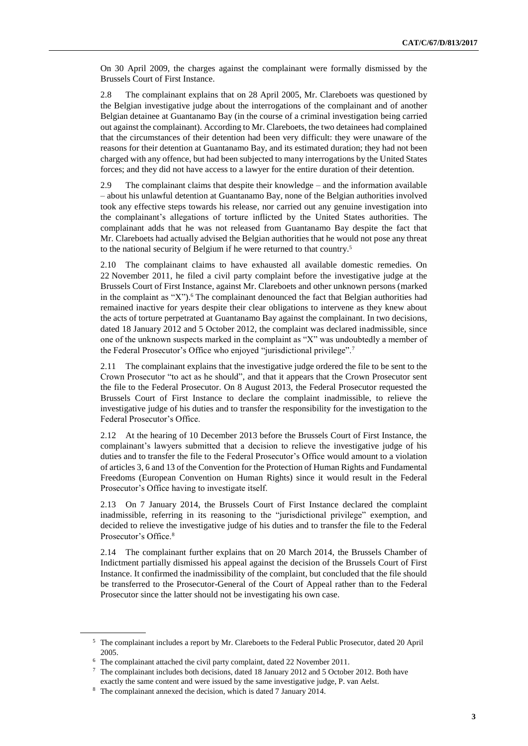On 30 April 2009, the charges against the complainant were formally dismissed by the Brussels Court of First Instance.

2.8 The complainant explains that on 28 April 2005, Mr. Clareboets was questioned by the Belgian investigative judge about the interrogations of the complainant and of another Belgian detainee at Guantanamo Bay (in the course of a criminal investigation being carried out against the complainant). According to Mr. Clareboets, the two detainees had complained that the circumstances of their detention had been very difficult: they were unaware of the reasons for their detention at Guantanamo Bay, and its estimated duration; they had not been charged with any offence, but had been subjected to many interrogations by the United States forces; and they did not have access to a lawyer for the entire duration of their detention.

2.9 The complainant claims that despite their knowledge – and the information available – about his unlawful detention at Guantanamo Bay, none of the Belgian authorities involved took any effective steps towards his release, nor carried out any genuine investigation into the complainant's allegations of torture inflicted by the United States authorities. The complainant adds that he was not released from Guantanamo Bay despite the fact that Mr. Clareboets had actually advised the Belgian authorities that he would not pose any threat to the national security of Belgium if he were returned to that country. 5

2.10 The complainant claims to have exhausted all available domestic remedies. On 22 November 2011, he filed a civil party complaint before the investigative judge at the Brussels Court of First Instance, against Mr. Clareboets and other unknown persons (marked in the complaint as " $X$ ").<sup>6</sup> The complainant denounced the fact that Belgian authorities had remained inactive for years despite their clear obligations to intervene as they knew about the acts of torture perpetrated at Guantanamo Bay against the complainant. In two decisions, dated 18 January 2012 and 5 October 2012, the complaint was declared inadmissible, since one of the unknown suspects marked in the complaint as "X" was undoubtedly a member of the Federal Prosecutor's Office who enjoyed "jurisdictional privilege".<sup>7</sup>

2.11 The complainant explains that the investigative judge ordered the file to be sent to the Crown Prosecutor "to act as he should", and that it appears that the Crown Prosecutor sent the file to the Federal Prosecutor. On 8 August 2013, the Federal Prosecutor requested the Brussels Court of First Instance to declare the complaint inadmissible, to relieve the investigative judge of his duties and to transfer the responsibility for the investigation to the Federal Prosecutor's Office.

2.12 At the hearing of 10 December 2013 before the Brussels Court of First Instance, the complainant's lawyers submitted that a decision to relieve the investigative judge of his duties and to transfer the file to the Federal Prosecutor's Office would amount to a violation of articles 3, 6 and 13 of the Convention for the Protection of Human Rights and Fundamental Freedoms (European Convention on Human Rights) since it would result in the Federal Prosecutor's Office having to investigate itself.

2.13 On 7 January 2014, the Brussels Court of First Instance declared the complaint inadmissible, referring in its reasoning to the "jurisdictional privilege" exemption, and decided to relieve the investigative judge of his duties and to transfer the file to the Federal Prosecutor's Office.<sup>8</sup>

2.14 The complainant further explains that on 20 March 2014, the Brussels Chamber of Indictment partially dismissed his appeal against the decision of the Brussels Court of First Instance. It confirmed the inadmissibility of the complaint, but concluded that the file should be transferred to the Prosecutor-General of the Court of Appeal rather than to the Federal Prosecutor since the latter should not be investigating his own case.

<sup>5</sup> The complainant includes a report by Mr. Clareboets to the Federal Public Prosecutor, dated 20 April 2005.

<sup>6</sup> The complainant attached the civil party complaint, dated 22 November 2011.

<sup>7</sup> The complainant includes both decisions, dated 18 January 2012 and 5 October 2012. Both have exactly the same content and were issued by the same investigative judge, P. van Aelst.

<sup>8</sup> The complainant annexed the decision, which is dated 7 January 2014.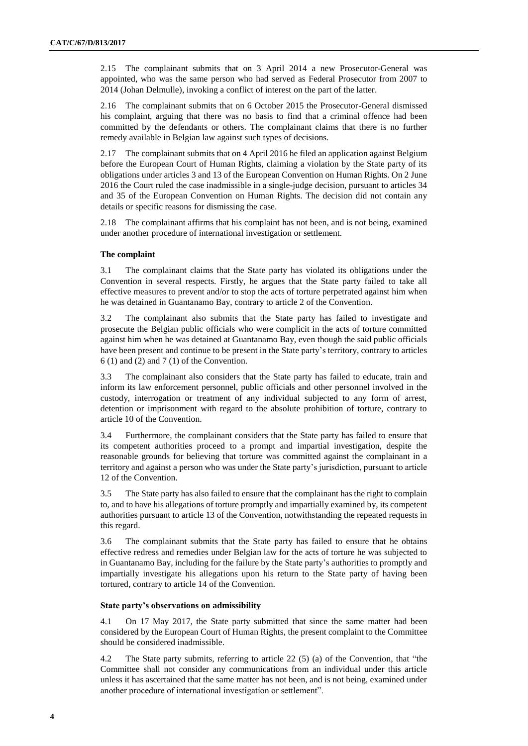2.15 The complainant submits that on 3 April 2014 a new Prosecutor-General was appointed, who was the same person who had served as Federal Prosecutor from 2007 to 2014 (Johan Delmulle), invoking a conflict of interest on the part of the latter.

2.16 The complainant submits that on 6 October 2015 the Prosecutor-General dismissed his complaint, arguing that there was no basis to find that a criminal offence had been committed by the defendants or others. The complainant claims that there is no further remedy available in Belgian law against such types of decisions.

2.17 The complainant submits that on 4 April 2016 he filed an application against Belgium before the European Court of Human Rights, claiming a violation by the State party of its obligations under articles 3 and 13 of the European Convention on Human Rights. On 2 June 2016 the Court ruled the case inadmissible in a single-judge decision, pursuant to articles 34 and 35 of the European Convention on Human Rights. The decision did not contain any details or specific reasons for dismissing the case.

2.18 The complainant affirms that his complaint has not been, and is not being, examined under another procedure of international investigation or settlement.

### **The complaint**

3.1 The complainant claims that the State party has violated its obligations under the Convention in several respects. Firstly, he argues that the State party failed to take all effective measures to prevent and/or to stop the acts of torture perpetrated against him when he was detained in Guantanamo Bay, contrary to article 2 of the Convention.

3.2 The complainant also submits that the State party has failed to investigate and prosecute the Belgian public officials who were complicit in the acts of torture committed against him when he was detained at Guantanamo Bay, even though the said public officials have been present and continue to be present in the State party's territory, contrary to articles 6 (1) and (2) and 7 (1) of the Convention.

3.3 The complainant also considers that the State party has failed to educate, train and inform its law enforcement personnel, public officials and other personnel involved in the custody, interrogation or treatment of any individual subjected to any form of arrest, detention or imprisonment with regard to the absolute prohibition of torture, contrary to article 10 of the Convention.

3.4 Furthermore, the complainant considers that the State party has failed to ensure that its competent authorities proceed to a prompt and impartial investigation, despite the reasonable grounds for believing that torture was committed against the complainant in a territory and against a person who was under the State party's jurisdiction, pursuant to article 12 of the Convention.

3.5 The State party has also failed to ensure that the complainant has the right to complain to, and to have his allegations of torture promptly and impartially examined by, its competent authorities pursuant to article 13 of the Convention, notwithstanding the repeated requests in this regard.

3.6 The complainant submits that the State party has failed to ensure that he obtains effective redress and remedies under Belgian law for the acts of torture he was subjected to in Guantanamo Bay, including for the failure by the State party's authorities to promptly and impartially investigate his allegations upon his return to the State party of having been tortured, contrary to article 14 of the Convention.

#### **State party's observations on admissibility**

4.1 On 17 May 2017, the State party submitted that since the same matter had been considered by the European Court of Human Rights, the present complaint to the Committee should be considered inadmissible.

4.2 The State party submits, referring to article 22 (5) (a) of the Convention, that "the Committee shall not consider any communications from an individual under this article unless it has ascertained that the same matter has not been, and is not being, examined under another procedure of international investigation or settlement".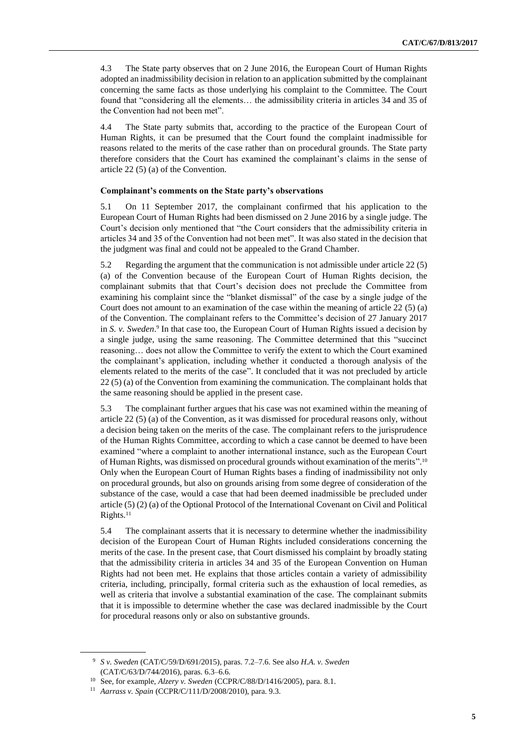4.3 The State party observes that on 2 June 2016, the European Court of Human Rights adopted an inadmissibility decision in relation to an application submitted by the complainant concerning the same facts as those underlying his complaint to the Committee. The Court found that "considering all the elements… the admissibility criteria in articles 34 and 35 of the Convention had not been met".

4.4 The State party submits that, according to the practice of the European Court of Human Rights, it can be presumed that the Court found the complaint inadmissible for reasons related to the merits of the case rather than on procedural grounds. The State party therefore considers that the Court has examined the complainant's claims in the sense of article 22 (5) (a) of the Convention.

### **Complainant's comments on the State party's observations**

5.1 On 11 September 2017, the complainant confirmed that his application to the European Court of Human Rights had been dismissed on 2 June 2016 by a single judge. The Court's decision only mentioned that "the Court considers that the admissibility criteria in articles 34 and 35 of the Convention had not been met". It was also stated in the decision that the judgment was final and could not be appealed to the Grand Chamber.

5.2 Regarding the argument that the communication is not admissible under article 22 (5) (a) of the Convention because of the European Court of Human Rights decision, the complainant submits that that Court's decision does not preclude the Committee from examining his complaint since the "blanket dismissal" of the case by a single judge of the Court does not amount to an examination of the case within the meaning of article 22 (5) (a) of the Convention. The complainant refers to the Committee's decision of 27 January 2017 in *S. v. Sweden.*<sup>9</sup> In that case too, the European Court of Human Rights issued a decision by a single judge, using the same reasoning. The Committee determined that this "succinct reasoning… does not allow the Committee to verify the extent to which the Court examined the complainant's application, including whether it conducted a thorough analysis of the elements related to the merits of the case". It concluded that it was not precluded by article 22 (5) (a) of the Convention from examining the communication. The complainant holds that the same reasoning should be applied in the present case.

5.3 The complainant further argues that his case was not examined within the meaning of article 22 (5) (a) of the Convention, as it was dismissed for procedural reasons only, without a decision being taken on the merits of the case. The complainant refers to the jurisprudence of the Human Rights Committee, according to which a case cannot be deemed to have been examined "where a complaint to another international instance, such as the European Court of Human Rights, was dismissed on procedural grounds without examination of the merits". 10 Only when the European Court of Human Rights bases a finding of inadmissibility not only on procedural grounds, but also on grounds arising from some degree of consideration of the substance of the case, would a case that had been deemed inadmissible be precluded under article (5) (2) (a) of the Optional Protocol of the International Covenant on Civil and Political Rights.<sup>11</sup>

5.4 The complainant asserts that it is necessary to determine whether the inadmissibility decision of the European Court of Human Rights included considerations concerning the merits of the case. In the present case, that Court dismissed his complaint by broadly stating that the admissibility criteria in articles 34 and 35 of the European Convention on Human Rights had not been met. He explains that those articles contain a variety of admissibility criteria, including, principally, formal criteria such as the exhaustion of local remedies, as well as criteria that involve a substantial examination of the case. The complainant submits that it is impossible to determine whether the case was declared inadmissible by the Court for procedural reasons only or also on substantive grounds.

<sup>9</sup> *S v. Sweden* (CAT/C/59/D/691/2015), paras. 7.2–7.6. See also *H.A. v. Sweden* (CAT/C/63/D/744/2016), paras. 6.3–6.6.

<sup>10</sup> See, for example, *Alzery v. Sweden* (CCPR/C/88/D/1416/2005), para. 8.1.

<sup>11</sup> *Aarrass v. Spain* (CCPR/C/111/D/2008/2010), para. 9.3.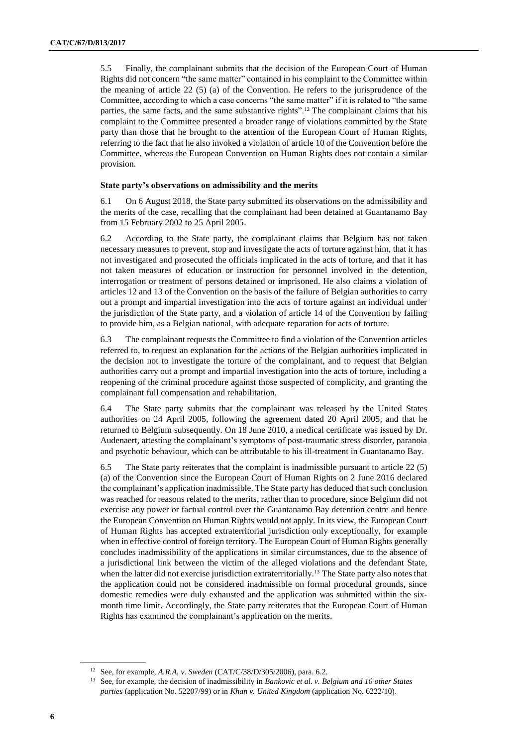5.5 Finally, the complainant submits that the decision of the European Court of Human Rights did not concern "the same matter" contained in his complaint to the Committee within the meaning of article  $22 \cdot (5)$  (a) of the Convention. He refers to the jurisprudence of the Committee, according to which a case concerns "the same matter" if it is related to "the same parties, the same facts, and the same substantive rights".<sup>12</sup> The complainant claims that his complaint to the Committee presented a broader range of violations committed by the State party than those that he brought to the attention of the European Court of Human Rights, referring to the fact that he also invoked a violation of article 10 of the Convention before the Committee, whereas the European Convention on Human Rights does not contain a similar provision.

### **State party's observations on admissibility and the merits**

6.1 On 6 August 2018, the State party submitted its observations on the admissibility and the merits of the case, recalling that the complainant had been detained at Guantanamo Bay from 15 February 2002 to 25 April 2005.

6.2 According to the State party, the complainant claims that Belgium has not taken necessary measures to prevent, stop and investigate the acts of torture against him, that it has not investigated and prosecuted the officials implicated in the acts of torture, and that it has not taken measures of education or instruction for personnel involved in the detention, interrogation or treatment of persons detained or imprisoned. He also claims a violation of articles 12 and 13 of the Convention on the basis of the failure of Belgian authorities to carry out a prompt and impartial investigation into the acts of torture against an individual under the jurisdiction of the State party, and a violation of article 14 of the Convention by failing to provide him, as a Belgian national, with adequate reparation for acts of torture.

6.3 The complainant requests the Committee to find a violation of the Convention articles referred to, to request an explanation for the actions of the Belgian authorities implicated in the decision not to investigate the torture of the complainant, and to request that Belgian authorities carry out a prompt and impartial investigation into the acts of torture, including a reopening of the criminal procedure against those suspected of complicity, and granting the complainant full compensation and rehabilitation.

6.4 The State party submits that the complainant was released by the United States authorities on 24 April 2005, following the agreement dated 20 April 2005, and that he returned to Belgium subsequently. On 18 June 2010, a medical certificate was issued by Dr. Audenaert, attesting the complainant's symptoms of post-traumatic stress disorder, paranoia and psychotic behaviour, which can be attributable to his ill-treatment in Guantanamo Bay.

6.5 The State party reiterates that the complaint is inadmissible pursuant to article 22 (5) (a) of the Convention since the European Court of Human Rights on 2 June 2016 declared the complainant's application inadmissible. The State party has deduced that such conclusion was reached for reasons related to the merits, rather than to procedure, since Belgium did not exercise any power or factual control over the Guantanamo Bay detention centre and hence the European Convention on Human Rights would not apply. In its view, the European Court of Human Rights has accepted extraterritorial jurisdiction only exceptionally, for example when in effective control of foreign territory. The European Court of Human Rights generally concludes inadmissibility of the applications in similar circumstances, due to the absence of a jurisdictional link between the victim of the alleged violations and the defendant State, when the latter did not exercise jurisdiction extraterritorially.<sup>13</sup> The State party also notes that the application could not be considered inadmissible on formal procedural grounds, since domestic remedies were duly exhausted and the application was submitted within the sixmonth time limit. Accordingly, the State party reiterates that the European Court of Human Rights has examined the complainant's application on the merits.

<sup>12</sup> See, for example, *A.R.A. v. Sweden* (CAT/C/38/D/305/2006), para. 6.2.

<sup>13</sup> See, for example, the decision of inadmissibility in *Bankovic et al. v. Belgium and 16 other States parties* (application No. 52207/99) or in *Khan v. United Kingdom* (application No. 6222/10).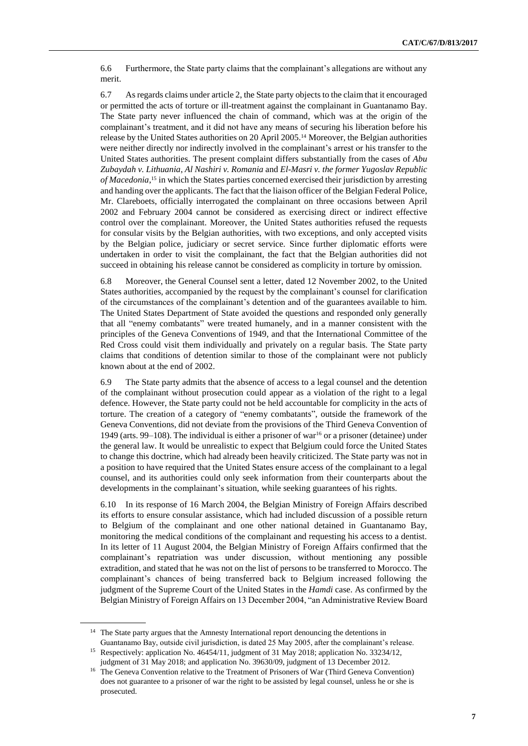6.6 Furthermore, the State party claims that the complainant's allegations are without any merit.

6.7 As regards claims under article 2, the State party objects to the claim that it encouraged or permitted the acts of torture or ill-treatment against the complainant in Guantanamo Bay. The State party never influenced the chain of command, which was at the origin of the complainant's treatment, and it did not have any means of securing his liberation before his release by the United States authorities on 20 April 2005.<sup>14</sup> Moreover, the Belgian authorities were neither directly nor indirectly involved in the complainant's arrest or his transfer to the United States authorities. The present complaint differs substantially from the cases of *Abu Zubaydah v. Lithuania*, *Al Nashiri v. Romania* and *El-Masri v. the former Yugoslav Republic of Macedonia*, <sup>15</sup> in which the States parties concerned exercised their jurisdiction by arresting and handing over the applicants. The fact that the liaison officer of the Belgian Federal Police, Mr. Clareboets, officially interrogated the complainant on three occasions between April 2002 and February 2004 cannot be considered as exercising direct or indirect effective control over the complainant. Moreover, the United States authorities refused the requests for consular visits by the Belgian authorities, with two exceptions, and only accepted visits by the Belgian police, judiciary or secret service. Since further diplomatic efforts were undertaken in order to visit the complainant, the fact that the Belgian authorities did not succeed in obtaining his release cannot be considered as complicity in torture by omission.

6.8 Moreover, the General Counsel sent a letter, dated 12 November 2002, to the United States authorities, accompanied by the request by the complainant's counsel for clarification of the circumstances of the complainant's detention and of the guarantees available to him. The United States Department of State avoided the questions and responded only generally that all "enemy combatants" were treated humanely, and in a manner consistent with the principles of the Geneva Conventions of 1949, and that the International Committee of the Red Cross could visit them individually and privately on a regular basis. The State party claims that conditions of detention similar to those of the complainant were not publicly known about at the end of 2002.

6.9 The State party admits that the absence of access to a legal counsel and the detention of the complainant without prosecution could appear as a violation of the right to a legal defence. However, the State party could not be held accountable for complicity in the acts of torture. The creation of a category of "enemy combatants", outside the framework of the Geneva Conventions, did not deviate from the provisions of the Third Geneva Convention of 1949 (arts. 99–108). The individual is either a prisoner of war<sup>16</sup> or a prisoner (detainee) under the general law. It would be unrealistic to expect that Belgium could force the United States to change this doctrine, which had already been heavily criticized. The State party was not in a position to have required that the United States ensure access of the complainant to a legal counsel, and its authorities could only seek information from their counterparts about the developments in the complainant's situation, while seeking guarantees of his rights.

6.10 In its response of 16 March 2004, the Belgian Ministry of Foreign Affairs described its efforts to ensure consular assistance, which had included discussion of a possible return to Belgium of the complainant and one other national detained in Guantanamo Bay, monitoring the medical conditions of the complainant and requesting his access to a dentist. In its letter of 11 August 2004, the Belgian Ministry of Foreign Affairs confirmed that the complainant's repatriation was under discussion, without mentioning any possible extradition, and stated that he was not on the list of persons to be transferred to Morocco. The complainant's chances of being transferred back to Belgium increased following the judgment of the Supreme Court of the United States in the *Hamdi* case. As confirmed by the Belgian Ministry of Foreign Affairs on 13 December 2004, "an Administrative Review Board

<sup>&</sup>lt;sup>14</sup> The State party argues that the Amnesty International report denouncing the detentions in Guantanamo Bay, outside civil jurisdiction, is dated 25 May 2005, after the complainant's release.

<sup>&</sup>lt;sup>15</sup> Respectively: application No. 46454/11, judgment of 31 May 2018; application No. 33234/12, judgment of 31 May 2018; and application No. 39630/09, judgment of 13 December 2012.

<sup>&</sup>lt;sup>16</sup> The Geneva Convention relative to the Treatment of Prisoners of War (Third Geneva Convention) does not guarantee to a prisoner of war the right to be assisted by legal counsel, unless he or she is prosecuted.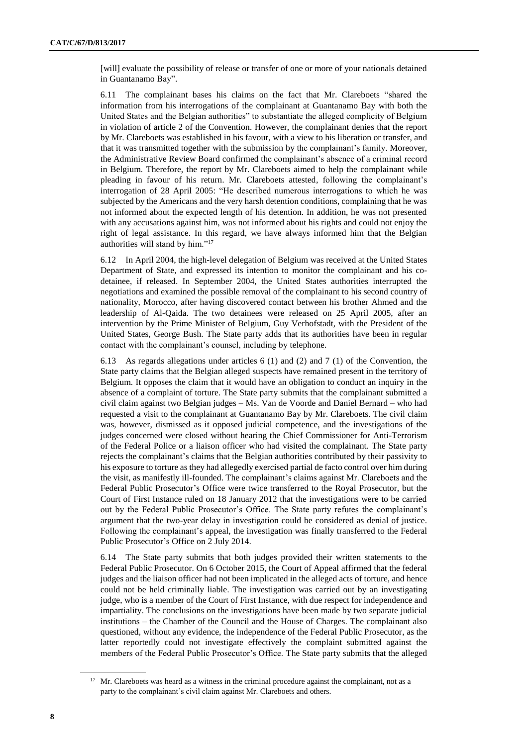[will] evaluate the possibility of release or transfer of one or more of your nationals detained in Guantanamo Bay".

6.11 The complainant bases his claims on the fact that Mr. Clareboets "shared the information from his interrogations of the complainant at Guantanamo Bay with both the United States and the Belgian authorities" to substantiate the alleged complicity of Belgium in violation of article 2 of the Convention. However, the complainant denies that the report by Mr. Clareboets was established in his favour, with a view to his liberation or transfer, and that it was transmitted together with the submission by the complainant's family. Moreover, the Administrative Review Board confirmed the complainant's absence of a criminal record in Belgium. Therefore, the report by Mr. Clareboets aimed to help the complainant while pleading in favour of his return. Mr. Clareboets attested, following the complainant's interrogation of 28 April 2005: "He described numerous interrogations to which he was subjected by the Americans and the very harsh detention conditions, complaining that he was not informed about the expected length of his detention. In addition, he was not presented with any accusations against him, was not informed about his rights and could not enjoy the right of legal assistance. In this regard, we have always informed him that the Belgian authorities will stand by him."<sup>17</sup>

6.12 In April 2004, the high-level delegation of Belgium was received at the United States Department of State, and expressed its intention to monitor the complainant and his codetainee, if released. In September 2004, the United States authorities interrupted the negotiations and examined the possible removal of the complainant to his second country of nationality, Morocco, after having discovered contact between his brother Ahmed and the leadership of Al-Qaida. The two detainees were released on 25 April 2005, after an intervention by the Prime Minister of Belgium, Guy Verhofstadt, with the President of the United States, George Bush. The State party adds that its authorities have been in regular contact with the complainant's counsel, including by telephone.

6.13 As regards allegations under articles 6 (1) and (2) and 7 (1) of the Convention, the State party claims that the Belgian alleged suspects have remained present in the territory of Belgium. It opposes the claim that it would have an obligation to conduct an inquiry in the absence of a complaint of torture. The State party submits that the complainant submitted a civil claim against two Belgian judges – Ms. Van de Voorde and Daniel Bernard – who had requested a visit to the complainant at Guantanamo Bay by Mr. Clareboets. The civil claim was, however, dismissed as it opposed judicial competence, and the investigations of the judges concerned were closed without hearing the Chief Commissioner for Anti-Terrorism of the Federal Police or a liaison officer who had visited the complainant. The State party rejects the complainant's claims that the Belgian authorities contributed by their passivity to his exposure to torture as they had allegedly exercised partial de facto control over him during the visit, as manifestly ill-founded. The complainant's claims against Mr. Clareboets and the Federal Public Prosecutor's Office were twice transferred to the Royal Prosecutor, but the Court of First Instance ruled on 18 January 2012 that the investigations were to be carried out by the Federal Public Prosecutor's Office. The State party refutes the complainant's argument that the two-year delay in investigation could be considered as denial of justice. Following the complainant's appeal, the investigation was finally transferred to the Federal Public Prosecutor's Office on 2 July 2014.

6.14 The State party submits that both judges provided their written statements to the Federal Public Prosecutor. On 6 October 2015, the Court of Appeal affirmed that the federal judges and the liaison officer had not been implicated in the alleged acts of torture, and hence could not be held criminally liable. The investigation was carried out by an investigating judge, who is a member of the Court of First Instance, with due respect for independence and impartiality. The conclusions on the investigations have been made by two separate judicial institutions – the Chamber of the Council and the House of Charges. The complainant also questioned, without any evidence, the independence of the Federal Public Prosecutor, as the latter reportedly could not investigate effectively the complaint submitted against the members of the Federal Public Prosecutor's Office. The State party submits that the alleged

<sup>&</sup>lt;sup>17</sup> Mr. Clareboets was heard as a witness in the criminal procedure against the complainant, not as a party to the complainant's civil claim against Mr. Clareboets and others.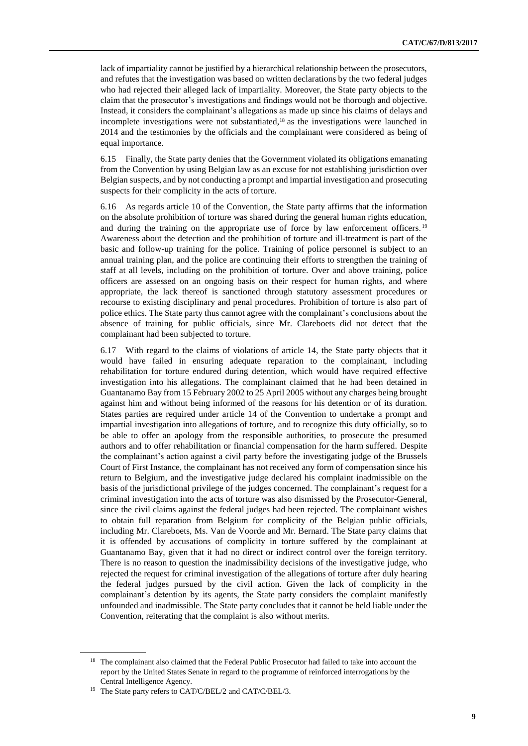lack of impartiality cannot be justified by a hierarchical relationship between the prosecutors, and refutes that the investigation was based on written declarations by the two federal judges who had rejected their alleged lack of impartiality. Moreover, the State party objects to the claim that the prosecutor's investigations and findings would not be thorough and objective. Instead, it considers the complainant's allegations as made up since his claims of delays and incomplete investigations were not substantiated, <sup>18</sup> as the investigations were launched in 2014 and the testimonies by the officials and the complainant were considered as being of equal importance.

6.15 Finally, the State party denies that the Government violated its obligations emanating from the Convention by using Belgian law as an excuse for not establishing jurisdiction over Belgian suspects, and by not conducting a prompt and impartial investigation and prosecuting suspects for their complicity in the acts of torture.

6.16 As regards article 10 of the Convention, the State party affirms that the information on the absolute prohibition of torture was shared during the general human rights education, and during the training on the appropriate use of force by law enforcement officers.<sup>19</sup> Awareness about the detection and the prohibition of torture and ill-treatment is part of the basic and follow-up training for the police. Training of police personnel is subject to an annual training plan, and the police are continuing their efforts to strengthen the training of staff at all levels, including on the prohibition of torture. Over and above training, police officers are assessed on an ongoing basis on their respect for human rights, and where appropriate, the lack thereof is sanctioned through statutory assessment procedures or recourse to existing disciplinary and penal procedures. Prohibition of torture is also part of police ethics. The State party thus cannot agree with the complainant's conclusions about the absence of training for public officials, since Mr. Clareboets did not detect that the complainant had been subjected to torture.

6.17 With regard to the claims of violations of article 14, the State party objects that it would have failed in ensuring adequate reparation to the complainant, including rehabilitation for torture endured during detention, which would have required effective investigation into his allegations. The complainant claimed that he had been detained in Guantanamo Bay from 15 February 2002 to 25 April 2005 without any charges being brought against him and without being informed of the reasons for his detention or of its duration. States parties are required under article 14 of the Convention to undertake a prompt and impartial investigation into allegations of torture, and to recognize this duty officially, so to be able to offer an apology from the responsible authorities, to prosecute the presumed authors and to offer rehabilitation or financial compensation for the harm suffered. Despite the complainant's action against a civil party before the investigating judge of the Brussels Court of First Instance, the complainant has not received any form of compensation since his return to Belgium, and the investigative judge declared his complaint inadmissible on the basis of the jurisdictional privilege of the judges concerned. The complainant's request for a criminal investigation into the acts of torture was also dismissed by the Prosecutor-General, since the civil claims against the federal judges had been rejected. The complainant wishes to obtain full reparation from Belgium for complicity of the Belgian public officials, including Mr. Clareboets, Ms. Van de Voorde and Mr. Bernard. The State party claims that it is offended by accusations of complicity in torture suffered by the complainant at Guantanamo Bay, given that it had no direct or indirect control over the foreign territory. There is no reason to question the inadmissibility decisions of the investigative judge, who rejected the request for criminal investigation of the allegations of torture after duly hearing the federal judges pursued by the civil action. Given the lack of complicity in the complainant's detention by its agents, the State party considers the complaint manifestly unfounded and inadmissible. The State party concludes that it cannot be held liable under the Convention, reiterating that the complaint is also without merits.

<sup>&</sup>lt;sup>18</sup> The complainant also claimed that the Federal Public Prosecutor had failed to take into account the report by the United States Senate in regard to the programme of reinforced interrogations by the Central Intelligence Agency.

<sup>&</sup>lt;sup>19</sup> The State party refers to CAT/C/BEL/2 and CAT/C/BEL/3.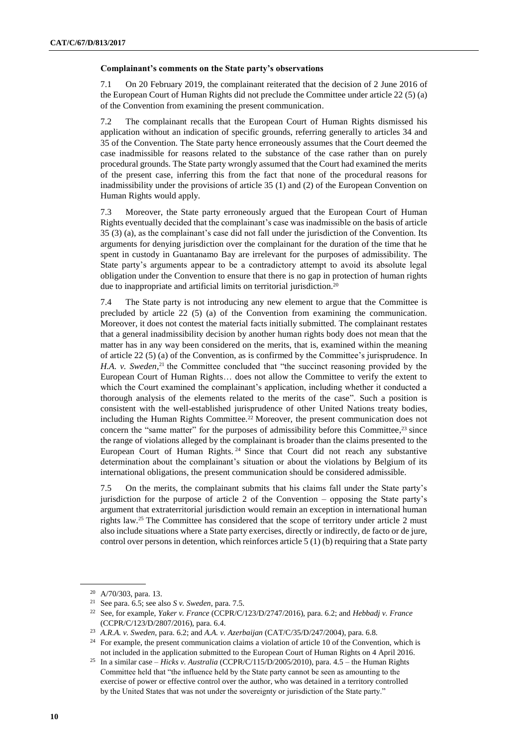### **Complainant's comments on the State party's observations**

7.1 On 20 February 2019, the complainant reiterated that the decision of 2 June 2016 of the European Court of Human Rights did not preclude the Committee under article 22 (5) (a) of the Convention from examining the present communication.

7.2 The complainant recalls that the European Court of Human Rights dismissed his application without an indication of specific grounds, referring generally to articles 34 and 35 of the Convention. The State party hence erroneously assumes that the Court deemed the case inadmissible for reasons related to the substance of the case rather than on purely procedural grounds. The State party wrongly assumed that the Court had examined the merits of the present case, inferring this from the fact that none of the procedural reasons for inadmissibility under the provisions of article 35 (1) and (2) of the European Convention on Human Rights would apply.

7.3 Moreover, the State party erroneously argued that the European Court of Human Rights eventually decided that the complainant's case was inadmissible on the basis of article 35 (3) (a), as the complainant's case did not fall under the jurisdiction of the Convention. Its arguments for denying jurisdiction over the complainant for the duration of the time that he spent in custody in Guantanamo Bay are irrelevant for the purposes of admissibility. The State party's arguments appear to be a contradictory attempt to avoid its absolute legal obligation under the Convention to ensure that there is no gap in protection of human rights due to inappropriate and artificial limits on territorial jurisdiction.<sup>20</sup>

7.4 The State party is not introducing any new element to argue that the Committee is precluded by article 22 (5) (a) of the Convention from examining the communication. Moreover, it does not contest the material facts initially submitted. The complainant restates that a general inadmissibility decision by another human rights body does not mean that the matter has in any way been considered on the merits, that is, examined within the meaning of article 22 (5) (a) of the Convention, as is confirmed by the Committee's jurisprudence. In *H.A. v. Sweden*<sup>21</sup> the Committee concluded that "the succinct reasoning provided by the European Court of Human Rights… does not allow the Committee to verify the extent to which the Court examined the complainant's application, including whether it conducted a thorough analysis of the elements related to the merits of the case". Such a position is consistent with the well-established jurisprudence of other United Nations treaty bodies, including the Human Rights Committee.<sup>22</sup> Moreover, the present communication does not concern the "same matter" for the purposes of admissibility before this Committee, $2<sup>3</sup>$  since the range of violations alleged by the complainant is broader than the claims presented to the European Court of Human Rights. <sup>24</sup> Since that Court did not reach any substantive determination about the complainant's situation or about the violations by Belgium of its international obligations, the present communication should be considered admissible.

7.5 On the merits, the complainant submits that his claims fall under the State party's jurisdiction for the purpose of article 2 of the Convention – opposing the State party's argument that extraterritorial jurisdiction would remain an exception in international human rights law.<sup>25</sup> The Committee has considered that the scope of territory under article 2 must also include situations where a State party exercises, directly or indirectly, de facto or de jure, control over persons in detention, which reinforces article 5 (1) (b) requiring that a State party

<sup>20</sup> A/70/303, para. 13.

<sup>21</sup> See para. 6.5; see also *S v. Sweden*, para. 7.5.

<sup>22</sup> See, for example, *Yaker v. France* (CCPR/C/123/D/2747/2016), para. 6.2; and *Hebbadj v. France* (CCPR/C/123/D/2807/2016), para. 6.4.

<sup>23</sup> *A.R.A. v. Sweden*, para. 6.2; and *A.A. v. Azerbaijan* (CAT/C/35/D/247/2004), para. 6.8.

<sup>&</sup>lt;sup>24</sup> For example, the present communication claims a violation of article 10 of the Convention, which is not included in the application submitted to the European Court of Human Rights on 4 April 2016.

<sup>25</sup> In a similar case – *Hicks v. Australia* (CCPR/C/115/D/2005/2010), para. 4.5 – the Human Rights Committee held that "the influence held by the State party cannot be seen as amounting to the exercise of power or effective control over the author, who was detained in a territory controlled by the United States that was not under the sovereignty or jurisdiction of the State party."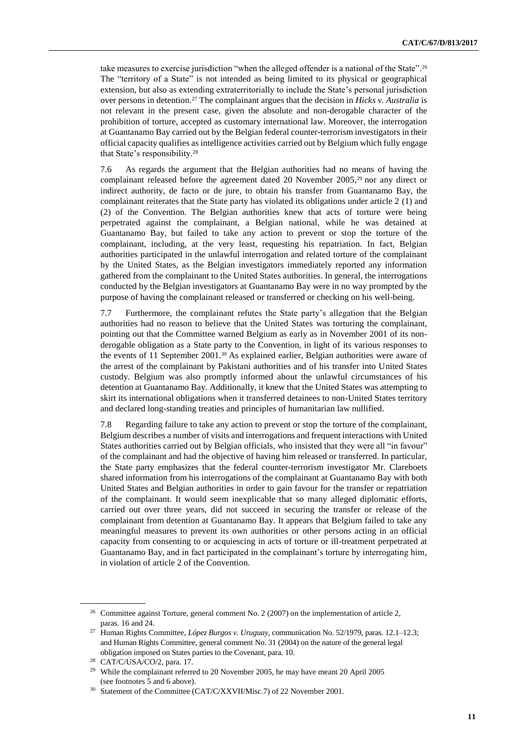take measures to exercise jurisdiction "when the alleged offender is a national of the State". 26 The "territory of a State" is not intended as being limited to its physical or geographical extension, but also as extending extraterritorially to include the State's personal jurisdiction over persons in detention.<sup>27</sup> The complainant argues that the decision in *Hicks v. Australia* is not relevant in the present case, given the absolute and non-derogable character of the prohibition of torture, accepted as customary international law. Moreover, the interrogation at Guantanamo Bay carried out by the Belgian federal counter-terrorism investigators in their official capacity qualifies as intelligence activities carried out by Belgium which fully engage that State's responsibility.<sup>28</sup>

7.6 As regards the argument that the Belgian authorities had no means of having the complainant released before the agreement dated 20 November 2005, <sup>29</sup> nor any direct or indirect authority, de facto or de jure, to obtain his transfer from Guantanamo Bay, the complainant reiterates that the State party has violated its obligations under article 2 (1) and (2) of the Convention. The Belgian authorities knew that acts of torture were being perpetrated against the complainant, a Belgian national, while he was detained at Guantanamo Bay, but failed to take any action to prevent or stop the torture of the complainant, including, at the very least, requesting his repatriation. In fact, Belgian authorities participated in the unlawful interrogation and related torture of the complainant by the United States, as the Belgian investigators immediately reported any information gathered from the complainant to the United States authorities. In general, the interrogations conducted by the Belgian investigators at Guantanamo Bay were in no way prompted by the purpose of having the complainant released or transferred or checking on his well-being.

7.7 Furthermore, the complainant refutes the State party's allegation that the Belgian authorities had no reason to believe that the United States was torturing the complainant, pointing out that the Committee warned Belgium as early as in November 2001 of its nonderogable obligation as a State party to the Convention, in light of its various responses to the events of 11 September 2001.<sup>30</sup> As explained earlier, Belgian authorities were aware of the arrest of the complainant by Pakistani authorities and of his transfer into United States custody. Belgium was also promptly informed about the unlawful circumstances of his detention at Guantanamo Bay. Additionally, it knew that the United States was attempting to skirt its international obligations when it transferred detainees to non-United States territory and declared long-standing treaties and principles of humanitarian law nullified.

7.8 Regarding failure to take any action to prevent or stop the torture of the complainant, Belgium describes a number of visits and interrogations and frequent interactions with United States authorities carried out by Belgian officials, who insisted that they were all "in favour" of the complainant and had the objective of having him released or transferred. In particular, the State party emphasizes that the federal counter-terrorism investigator Mr. Clareboets shared information from his interrogations of the complainant at Guantanamo Bay with both United States and Belgian authorities in order to gain favour for the transfer or repatriation of the complainant. It would seem inexplicable that so many alleged diplomatic efforts, carried out over three years, did not succeed in securing the transfer or release of the complainant from detention at Guantanamo Bay. It appears that Belgium failed to take any meaningful measures to prevent its own authorities or other persons acting in an official capacity from consenting to or acquiescing in acts of torture or ill-treatment perpetrated at Guantanamo Bay, and in fact participated in the complainant's torture by interrogating him, in violation of article 2 of the Convention.

<sup>&</sup>lt;sup>26</sup> Committee against Torture, general comment No. 2 (2007) on the implementation of article 2, paras. 16 and 24.

<sup>27</sup> Human Rights Committee, *López Burgos v. Uruguay*, communication No. 52/1979, paras. 12.1–12.3; and Human Rights Committee, general comment No. 31 (2004) on the nature of the general legal obligation imposed on States parties to the Covenant, para. 10.

<sup>28</sup> CAT/C/USA/CO/2, para. 17.

<sup>&</sup>lt;sup>29</sup> While the complainant referred to 20 November 2005, he may have meant 20 April 2005 (see footnotes 5 and 6 above).

<sup>&</sup>lt;sup>30</sup> Statement of the Committee (CAT/C/XXVII/Misc.7) of 22 November 2001.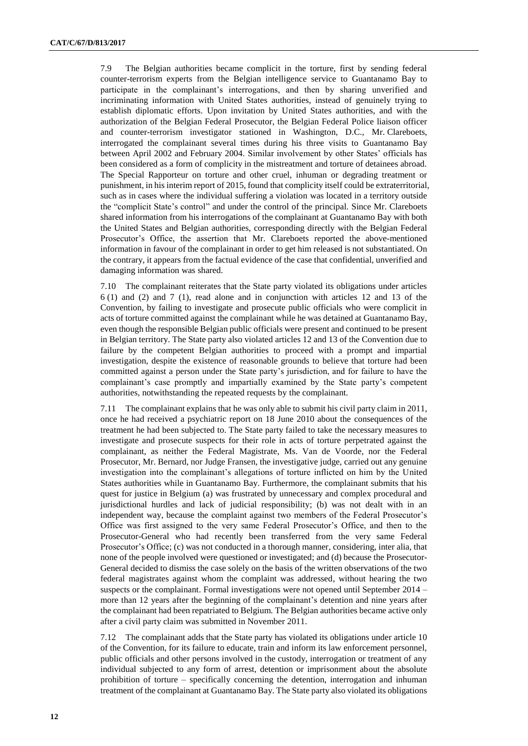7.9 The Belgian authorities became complicit in the torture, first by sending federal counter-terrorism experts from the Belgian intelligence service to Guantanamo Bay to participate in the complainant's interrogations, and then by sharing unverified and incriminating information with United States authorities, instead of genuinely trying to establish diplomatic efforts. Upon invitation by United States authorities, and with the authorization of the Belgian Federal Prosecutor, the Belgian Federal Police liaison officer and counter-terrorism investigator stationed in Washington, D.C., Mr. Clareboets, interrogated the complainant several times during his three visits to Guantanamo Bay between April 2002 and February 2004. Similar involvement by other States' officials has been considered as a form of complicity in the mistreatment and torture of detainees abroad. The Special Rapporteur on torture and other cruel, inhuman or degrading treatment or punishment, in his interim report of 2015, found that complicity itself could be extraterritorial, such as in cases where the individual suffering a violation was located in a territory outside the "complicit State's control" and under the control of the principal. Since Mr. Clareboets shared information from his interrogations of the complainant at Guantanamo Bay with both the United States and Belgian authorities, corresponding directly with the Belgian Federal Prosecutor's Office, the assertion that Mr. Clareboets reported the above-mentioned information in favour of the complainant in order to get him released is not substantiated. On the contrary, it appears from the factual evidence of the case that confidential, unverified and damaging information was shared.

7.10 The complainant reiterates that the State party violated its obligations under articles 6 (1) and (2) and 7 (1), read alone and in conjunction with articles 12 and 13 of the Convention, by failing to investigate and prosecute public officials who were complicit in acts of torture committed against the complainant while he was detained at Guantanamo Bay, even though the responsible Belgian public officials were present and continued to be present in Belgian territory. The State party also violated articles 12 and 13 of the Convention due to failure by the competent Belgian authorities to proceed with a prompt and impartial investigation, despite the existence of reasonable grounds to believe that torture had been committed against a person under the State party's jurisdiction, and for failure to have the complainant's case promptly and impartially examined by the State party's competent authorities, notwithstanding the repeated requests by the complainant.

7.11 The complainant explains that he was only able to submit his civil party claim in 2011, once he had received a psychiatric report on 18 June 2010 about the consequences of the treatment he had been subjected to. The State party failed to take the necessary measures to investigate and prosecute suspects for their role in acts of torture perpetrated against the complainant, as neither the Federal Magistrate, Ms. Van de Voorde, nor the Federal Prosecutor, Mr. Bernard, nor Judge Fransen, the investigative judge, carried out any genuine investigation into the complainant's allegations of torture inflicted on him by the United States authorities while in Guantanamo Bay. Furthermore, the complainant submits that his quest for justice in Belgium (a) was frustrated by unnecessary and complex procedural and jurisdictional hurdles and lack of judicial responsibility; (b) was not dealt with in an independent way, because the complaint against two members of the Federal Prosecutor's Office was first assigned to the very same Federal Prosecutor's Office, and then to the Prosecutor-General who had recently been transferred from the very same Federal Prosecutor's Office; (c) was not conducted in a thorough manner, considering, inter alia, that none of the people involved were questioned or investigated; and (d) because the Prosecutor-General decided to dismiss the case solely on the basis of the written observations of the two federal magistrates against whom the complaint was addressed, without hearing the two suspects or the complainant. Formal investigations were not opened until September 2014 – more than 12 years after the beginning of the complainant's detention and nine years after the complainant had been repatriated to Belgium. The Belgian authorities became active only after a civil party claim was submitted in November 2011.

7.12 The complainant adds that the State party has violated its obligations under article 10 of the Convention, for its failure to educate, train and inform its law enforcement personnel, public officials and other persons involved in the custody, interrogation or treatment of any individual subjected to any form of arrest, detention or imprisonment about the absolute prohibition of torture – specifically concerning the detention, interrogation and inhuman treatment of the complainant at Guantanamo Bay. The State party also violated its obligations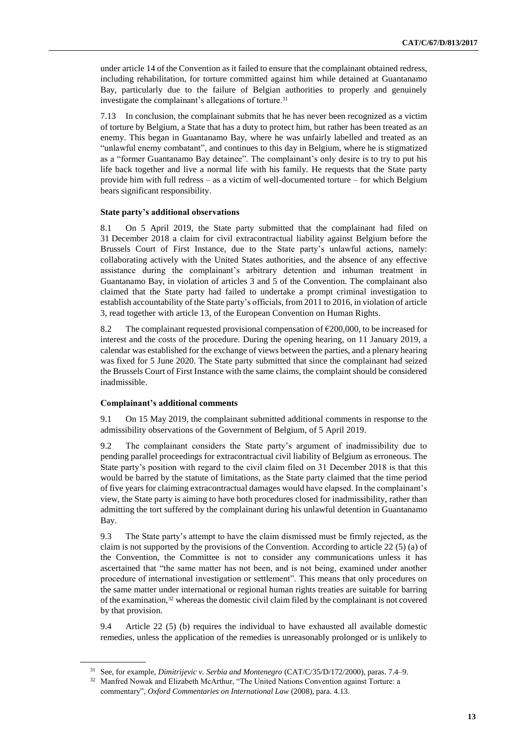under article 14 of the Convention as it failed to ensure that the complainant obtained redress, including rehabilitation, for torture committed against him while detained at Guantanamo Bay, particularly due to the failure of Belgian authorities to properly and genuinely investigate the complainant's allegations of torture.<sup>31</sup>

7.13 In conclusion, the complainant submits that he has never been recognized as a victim of torture by Belgium, a State that has a duty to protect him, but rather has been treated as an enemy. This began in Guantanamo Bay, where he was unfairly labelled and treated as an "unlawful enemy combatant", and continues to this day in Belgium, where he is stigmatized as a "former Guantanamo Bay detainee". The complainant's only desire is to try to put his life back together and live a normal life with his family. He requests that the State party provide him with full redress – as a victim of well-documented torture – for which Belgium bears significant responsibility.

#### **State party's additional observations**

8.1 On 5 April 2019, the State party submitted that the complainant had filed on 31 December 2018 a claim for civil extracontractual liability against Belgium before the Brussels Court of First Instance, due to the State party's unlawful actions, namely: collaborating actively with the United States authorities, and the absence of any effective assistance during the complainant's arbitrary detention and inhuman treatment in Guantanamo Bay, in violation of articles 3 and 5 of the Convention. The complainant also claimed that the State party had failed to undertake a prompt criminal investigation to establish accountability of the State party's officials, from 2011 to 2016, in violation of article 3, read together with article 13, of the European Convention on Human Rights.

8.2 The complainant requested provisional compensation of  $\epsilon$ 200,000, to be increased for interest and the costs of the procedure. During the opening hearing, on 11 January 2019, a calendar was established for the exchange of views between the parties, and a plenary hearing was fixed for 5 June 2020. The State party submitted that since the complainant had seized the Brussels Court of First Instance with the same claims, the complaint should be considered inadmissible.

### **Complainant's additional comments**

9.1 On 15 May 2019, the complainant submitted additional comments in response to the admissibility observations of the Government of Belgium, of 5 April 2019.

9.2 The complainant considers the State party's argument of inadmissibility due to pending parallel proceedings for extracontractual civil liability of Belgium as erroneous. The State party's position with regard to the civil claim filed on 31 December 2018 is that this would be barred by the statute of limitations, as the State party claimed that the time period of five years for claiming extracontractual damages would have elapsed. In the complainant's view, the State party is aiming to have both procedures closed for inadmissibility, rather than admitting the tort suffered by the complainant during his unlawful detention in Guantanamo Bay.

9.3 The State party's attempt to have the claim dismissed must be firmly rejected, as the claim is not supported by the provisions of the Convention. According to article 22 (5) (a) of the Convention, the Committee is not to consider any communications unless it has ascertained that "the same matter has not been, and is not being, examined under another procedure of international investigation or settlement". This means that only procedures on the same matter under international or regional human rights treaties are suitable for barring of the examination,<sup>32</sup> whereas the domestic civil claim filed by the complainant is not covered by that provision.

9.4 Article 22 (5) (b) requires the individual to have exhausted all available domestic remedies, unless the application of the remedies is unreasonably prolonged or is unlikely to

<sup>31</sup> See, for example, *Dimitrijevic v. Serbia and Montenegro* (CAT/C/35/D/172/2000), paras. 7.4–9.

<sup>&</sup>lt;sup>32</sup> Manfred Nowak and Elizabeth McArthur, "The United Nations Convention against Torture: a commentary", *Oxford Commentaries on International Law* (2008), para. 4.13.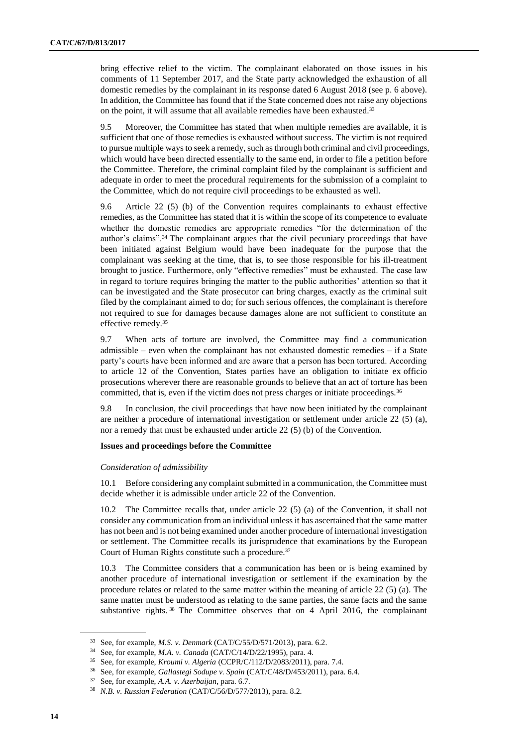bring effective relief to the victim. The complainant elaborated on those issues in his comments of 11 September 2017, and the State party acknowledged the exhaustion of all domestic remedies by the complainant in its response dated 6 August 2018 (see p. 6 above). In addition, the Committee has found that if the State concerned does not raise any objections on the point, it will assume that all available remedies have been exhausted.<sup>33</sup>

9.5 Moreover, the Committee has stated that when multiple remedies are available, it is sufficient that one of those remedies is exhausted without success. The victim is not required to pursue multiple ways to seek a remedy, such as through both criminal and civil proceedings, which would have been directed essentially to the same end, in order to file a petition before the Committee. Therefore, the criminal complaint filed by the complainant is sufficient and adequate in order to meet the procedural requirements for the submission of a complaint to the Committee, which do not require civil proceedings to be exhausted as well.

9.6 Article 22 (5) (b) of the Convention requires complainants to exhaust effective remedies, as the Committee has stated that it is within the scope of its competence to evaluate whether the domestic remedies are appropriate remedies "for the determination of the author's claims".<sup>34</sup> The complainant argues that the civil pecuniary proceedings that have been initiated against Belgium would have been inadequate for the purpose that the complainant was seeking at the time, that is, to see those responsible for his ill-treatment brought to justice. Furthermore, only "effective remedies" must be exhausted. The case law in regard to torture requires bringing the matter to the public authorities' attention so that it can be investigated and the State prosecutor can bring charges, exactly as the criminal suit filed by the complainant aimed to do; for such serious offences, the complainant is therefore not required to sue for damages because damages alone are not sufficient to constitute an effective remedy.<sup>35</sup>

9.7 When acts of torture are involved, the Committee may find a communication admissible – even when the complainant has not exhausted domestic remedies – if a State party's courts have been informed and are aware that a person has been tortured. According to article 12 of the Convention, States parties have an obligation to initiate ex officio prosecutions wherever there are reasonable grounds to believe that an act of torture has been committed, that is, even if the victim does not press charges or initiate proceedings.<sup>36</sup>

9.8 In conclusion, the civil proceedings that have now been initiated by the complainant are neither a procedure of international investigation or settlement under article 22 (5) (a), nor a remedy that must be exhausted under article 22 (5) (b) of the Convention.

#### **Issues and proceedings before the Committee**

#### *Consideration of admissibility*

10.1 Before considering any complaint submitted in a communication, the Committee must decide whether it is admissible under article 22 of the Convention.

10.2 The Committee recalls that, under article 22 (5) (a) of the Convention, it shall not consider any communication from an individual unless it has ascertained that the same matter has not been and is not being examined under another procedure of international investigation or settlement. The Committee recalls its jurisprudence that examinations by the European Court of Human Rights constitute such a procedure.<sup>37</sup>

10.3 The Committee considers that a communication has been or is being examined by another procedure of international investigation or settlement if the examination by the procedure relates or related to the same matter within the meaning of article 22 (5) (a). The same matter must be understood as relating to the same parties, the same facts and the same substantive rights. 38 The Committee observes that on 4 April 2016, the complainant

<sup>33</sup> See, for example, *M.S. v. Denmark* (CAT/C/55/D/571/2013), para. 6.2.

<sup>34</sup> See, for example, *M.A. v. Canada* (CAT/C/14/D/22/1995), para. 4.

<sup>35</sup> See, for example, *Kroumi v. Algeria* (CCPR/C/112/D/2083/2011), para. 7.4.

<sup>36</sup> See, for example, *Gallastegi Sodupe v. Spain* (CAT/C/48/D/453/2011), para. 6.4.

<sup>37</sup> See, for example, *A.A. v. Azerbaijan*, para. 6.7.

<sup>38</sup> *N.B. v. Russian Federation* (CAT/C/56/D/577/2013), para. 8.2.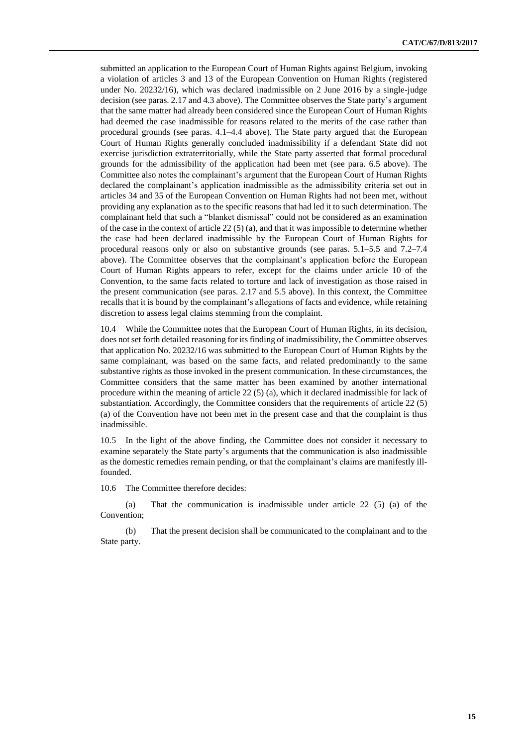submitted an application to the European Court of Human Rights against Belgium, invoking a violation of articles 3 and 13 of the European Convention on Human Rights (registered under No. 20232/16), which was declared inadmissible on 2 June 2016 by a single-judge decision (see paras. 2.17 and 4.3 above). The Committee observes the State party's argument that the same matter had already been considered since the European Court of Human Rights had deemed the case inadmissible for reasons related to the merits of the case rather than procedural grounds (see paras. 4.1–4.4 above). The State party argued that the European Court of Human Rights generally concluded inadmissibility if a defendant State did not exercise jurisdiction extraterritorially, while the State party asserted that formal procedural grounds for the admissibility of the application had been met (see para. 6.5 above). The Committee also notes the complainant's argument that the European Court of Human Rights declared the complainant's application inadmissible as the admissibility criteria set out in articles 34 and 35 of the European Convention on Human Rights had not been met, without providing any explanation as to the specific reasons that had led it to such determination. The complainant held that such a "blanket dismissal" could not be considered as an examination of the case in the context of article  $22(5)(a)$ , and that it was impossible to determine whether the case had been declared inadmissible by the European Court of Human Rights for procedural reasons only or also on substantive grounds (see paras. 5.1–5.5 and 7.2–7.4 above). The Committee observes that the complainant's application before the European Court of Human Rights appears to refer, except for the claims under article 10 of the Convention, to the same facts related to torture and lack of investigation as those raised in the present communication (see paras. 2.17 and 5.5 above). In this context, the Committee recalls that it is bound by the complainant's allegations of facts and evidence, while retaining discretion to assess legal claims stemming from the complaint.

10.4 While the Committee notes that the European Court of Human Rights, in its decision, does not set forth detailed reasoning for its finding of inadmissibility, the Committee observes that application No. 20232/16 was submitted to the European Court of Human Rights by the same complainant, was based on the same facts, and related predominantly to the same substantive rights as those invoked in the present communication. In these circumstances, the Committee considers that the same matter has been examined by another international procedure within the meaning of article 22 (5) (a), which it declared inadmissible for lack of substantiation. Accordingly, the Committee considers that the requirements of article 22 (5) (a) of the Convention have not been met in the present case and that the complaint is thus inadmissible.

10.5 In the light of the above finding, the Committee does not consider it necessary to examine separately the State party's arguments that the communication is also inadmissible as the domestic remedies remain pending, or that the complainant's claims are manifestly illfounded.

10.6 The Committee therefore decides:

(a) That the communication is inadmissible under article 22 (5) (a) of the Convention;

(b) That the present decision shall be communicated to the complainant and to the State party.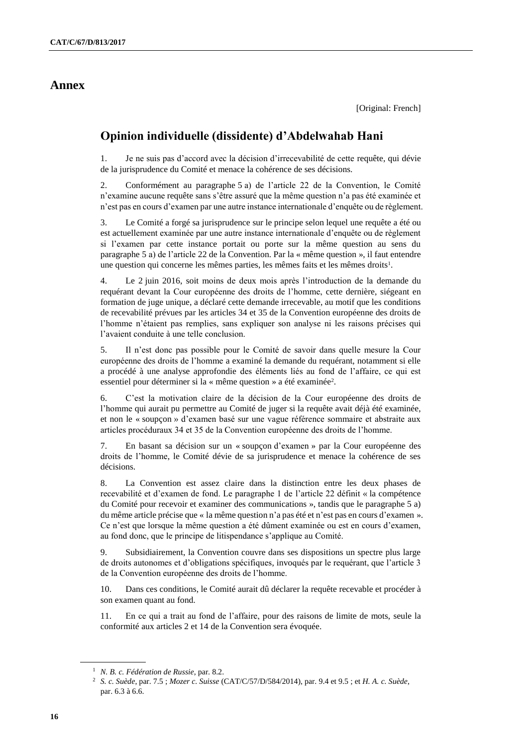## **Annex**

## **Opinion individuelle (dissidente) d'Abdelwahab Hani**

1. Je ne suis pas d'accord avec la décision d'irrecevabilité de cette requête, qui dévie de la jurisprudence du Comité et menace la cohérence de ses décisions.

2. Conformément au paragraphe 5 a) de l'article 22 de la Convention, le Comité n'examine aucune requête sans s'être assuré que la même question n'a pas été examinée et n'est pas en cours d'examen par une autre instance internationale d'enquête ou de règlement.

3. Le Comité a forgé sa jurisprudence sur le principe selon lequel une requête a été ou est actuellement examinée par une autre instance internationale d'enquête ou de règlement si l'examen par cette instance portait ou porte sur la même question au sens du paragraphe 5 a) de l'article 22 de la Convention. Par la « même question », il faut entendre une question qui concerne les mêmes parties, les mêmes faits et les mêmes droits<sup>1</sup>.

4. Le 2 juin 2016, soit moins de deux mois après l'introduction de la demande du requérant devant la Cour européenne des droits de l'homme, cette dernière, siégeant en formation de juge unique, a déclaré cette demande irrecevable, au motif que les conditions de recevabilité prévues par les articles 34 et 35 de la Convention européenne des droits de l'homme n'étaient pas remplies, sans expliquer son analyse ni les raisons précises qui l'avaient conduite à une telle conclusion.

5. Il n'est donc pas possible pour le Comité de savoir dans quelle mesure la Cour européenne des droits de l'homme a examiné la demande du requérant, notamment si elle a procédé à une analyse approfondie des éléments liés au fond de l'affaire, ce qui est essentiel pour déterminer si la « même question » a été examinée<sup>2</sup>.

6. C'est la motivation claire de la décision de la Cour européenne des droits de l'homme qui aurait pu permettre au Comité de juger si la requête avait déjà été examinée, et non le « soupçon » d'examen basé sur une vague référence sommaire et abstraite aux articles procéduraux 34 et 35 de la Convention européenne des droits de l'homme.

7. En basant sa décision sur un « soupçon d'examen » par la Cour européenne des droits de l'homme, le Comité dévie de sa jurisprudence et menace la cohérence de ses décisions.

8. La Convention est assez claire dans la distinction entre les deux phases de recevabilité et d'examen de fond. Le paragraphe 1 de l'article 22 définit « la compétence du Comité pour recevoir et examiner des communications », tandis que le paragraphe 5 a) du même article précise que « la même question n'a pas été et n'est pas en cours d'examen ». Ce n'est que lorsque la même question a été dûment examinée ou est en cours d'examen, au fond donc, que le principe de litispendance s'applique au Comité.

9. Subsidiairement, la Convention couvre dans ses dispositions un spectre plus large de droits autonomes et d'obligations spécifiques, invoqués par le requérant, que l'article 3 de la Convention européenne des droits de l'homme.

10. Dans ces conditions, le Comité aurait dû déclarer la requête recevable et procéder à son examen quant au fond.

11. En ce qui a trait au fond de l'affaire, pour des raisons de limite de mots, seule la conformité aux articles 2 et 14 de la Convention sera évoquée.

<sup>1</sup> *N. B. c. Fédération de Russie*, par. 8.2.

<sup>2</sup> *S. c. Suède*, par. 7.5 ; *Mozer c. Suisse* (CAT/C/57/D/584/2014), par. 9.4 et 9.5 ; et *H. A. c. Suède*, par. 6.3 à 6.6.